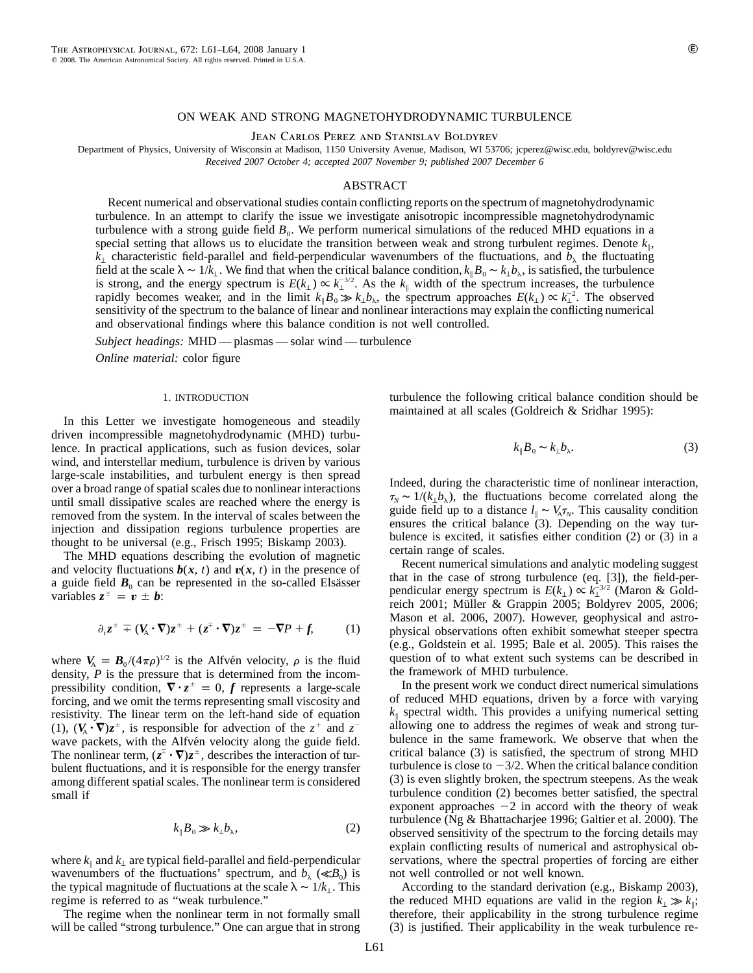# ON WEAK AND STRONG MAGNETOHYDRODYNAMIC TURBULENCE

Jean Carlos Perez and Stanislav Boldyrev

Department of Physics, University of Wisconsin at Madison, 1150 University Avenue, Madison, WI 53706; jcperez@wisc.edu, boldyrev@wisc.edu *Received 2007 October 4; accepted 2007 November 9; published 2007 December 6*

## ABSTRACT

Recent numerical and observational studies contain conflicting reports on the spectrum of magnetohydrodynamic turbulence. In an attempt to clarify the issue we investigate anisotropic incompressible magnetohydrodynamic turbulence with a strong guide field  $B_0$ . We perform numerical simulations of the reduced MHD equations in a special setting that allows us to elucidate the transition between weak and strong turbulent regimes. Denote  $k_{\parallel}$ ,  $k_{\perp}$  characteristic field-parallel and field-perpendicular wavenumbers of the fluctuations, and  $b_{\lambda}$  the fluctuating field at the scale  $\lambda \sim 1/k_1$ . We find that when the critical balance condition,  $k_\parallel B_0 \sim k_\perp b_\lambda$ , is satisfied, the turbulence is strong, and the energy spectrum is  $E(k_\perp) \propto k_\perp^{3/2}$ . As the  $k_\parallel$  width of the spectrum increases, the turbulence rapidly becomes weaker, and in the limit  $k_{\parallel} B_0 \gg k_{\perp} b_{\lambda}$ , the spectrum approaches  $E(k_{\perp}) \propto k_{\perp}^{-2}$ . The observed sensitivity of the spectrum to the balance of linear and nonlinear interactions may explain the conflicting numerical and observational findings where this balance condition is not well controlled.

*Subject headings:* MHD — plasmas — solar wind — turbulence

*Online material:* color figure

### 1. INTRODUCTION

In this Letter we investigate homogeneous and steadily driven incompressible magnetohydrodynamic (MHD) turbulence. In practical applications, such as fusion devices, solar wind, and interstellar medium, turbulence is driven by various large-scale instabilities, and turbulent energy is then spread over a broad range of spatial scales due to nonlinear interactions until small dissipative scales are reached where the energy is removed from the system. In the interval of scales between the injection and dissipation regions turbulence properties are thought to be universal (e.g., Frisch 1995; Biskamp 2003).

The MHD equations describing the evolution of magnetic and velocity fluctuations  $\mathbf{b}(x, t)$  and  $\mathbf{v}(x, t)$  in the presence of a guide field  $B_0$  can be represented in the so-called Elsässer variables  $z^{\pm} = v \pm b$ :

$$
\partial_t z^{\pm} \mp (V_A \cdot \nabla) z^{\pm} + (z^{\mp} \cdot \nabla) z^{\pm} = -\nabla P + f, \qquad (1)
$$

where  $V_A = B_0/(4\pi\rho)^{1/2}$  is the Alfvén velocity,  $\rho$  is the fluid density, *P* is the pressure that is determined from the incompressibility condition,  $\nabla \cdot z^{\pm} = 0$ , f represents a large-scale forcing, and we omit the terms representing small viscosity and resistivity. The linear term on the left-hand side of equation (1),  $(V_A \cdot \nabla)z^{\pm}$ , is responsible for advection of the  $z^+$  and  $z^$ wave packets, with the Alfvén velocity along the guide field. The nonlinear term,  $(z^{\dagger} \cdot \nabla) z^{\dagger}$ , describes the interaction of turbulent fluctuations, and it is responsible for the energy transfer among different spatial scales. The nonlinear term is considered small if

$$
k_{\parallel}B_0 \gg k_{\perp}b_{\lambda},\tag{2}
$$

where  $k_{\parallel}$  and  $k_{\perp}$  are typical field-parallel and field-perpendicular wavenumbers of the fluctuations' spectrum, and  $b_{\lambda}$  ( $\ll B_0$ ) is the typical magnitude of fluctuations at the scale  $\lambda \sim 1/k_1$ . This regime is referred to as "weak turbulence."

The regime when the nonlinear term in not formally small will be called "strong turbulence." One can argue that in strong turbulence the following critical balance condition should be maintained at all scales (Goldreich & Sridhar 1995):

$$
k_{\parallel}B_0 \sim k_{\perp}b_{\lambda}.\tag{3}
$$

Indeed, during the characteristic time of nonlinear interaction,  $\tau_N \sim 1/(k_\perp b_\lambda)$ , the fluctuations become correlated along the guide field up to a distance  $l_{\parallel} \sim V_A \tau_N$ . This causality condition ensures the critical balance (3). Depending on the way turbulence is excited, it satisfies either condition (2) or (3) in a certain range of scales.

Recent numerical simulations and analytic modeling suggest that in the case of strong turbulence (eq. [3]), the field-perpendicular energy spectrum is  $E(k_\perp) \propto k_\perp^{-3/2}$  (Maron & Goldreich 2001; Müller & Grappin 2005; Boldyrev 2005, 2006; Mason et al. 2006, 2007). However, geophysical and astrophysical observations often exhibit somewhat steeper spectra (e.g., Goldstein et al. 1995; Bale et al. 2005). This raises the question of to what extent such systems can be described in the framework of MHD turbulence.

In the present work we conduct direct numerical simulations of reduced MHD equations, driven by a force with varying  $k_{\parallel}$  spectral width. This provides a unifying numerical setting allowing one to address the regimes of weak and strong turbulence in the same framework. We observe that when the critical balance (3) is satisfied, the spectrum of strong MHD turbulence is close to  $-3/2$ . When the critical balance condition (3) is even slightly broken, the spectrum steepens. As the weak turbulence condition (2) becomes better satisfied, the spectral exponent approaches  $-2$  in accord with the theory of weak turbulence (Ng & Bhattacharjee 1996; Galtier et al. 2000). The observed sensitivity of the spectrum to the forcing details may explain conflicting results of numerical and astrophysical observations, where the spectral properties of forcing are either not well controlled or not well known.

According to the standard derivation (e.g., Biskamp 2003), the reduced MHD equations are valid in the region  $k_1 \gg k_0$ ; therefore, their applicability in the strong turbulence regime (3) is justified. Their applicability in the weak turbulence re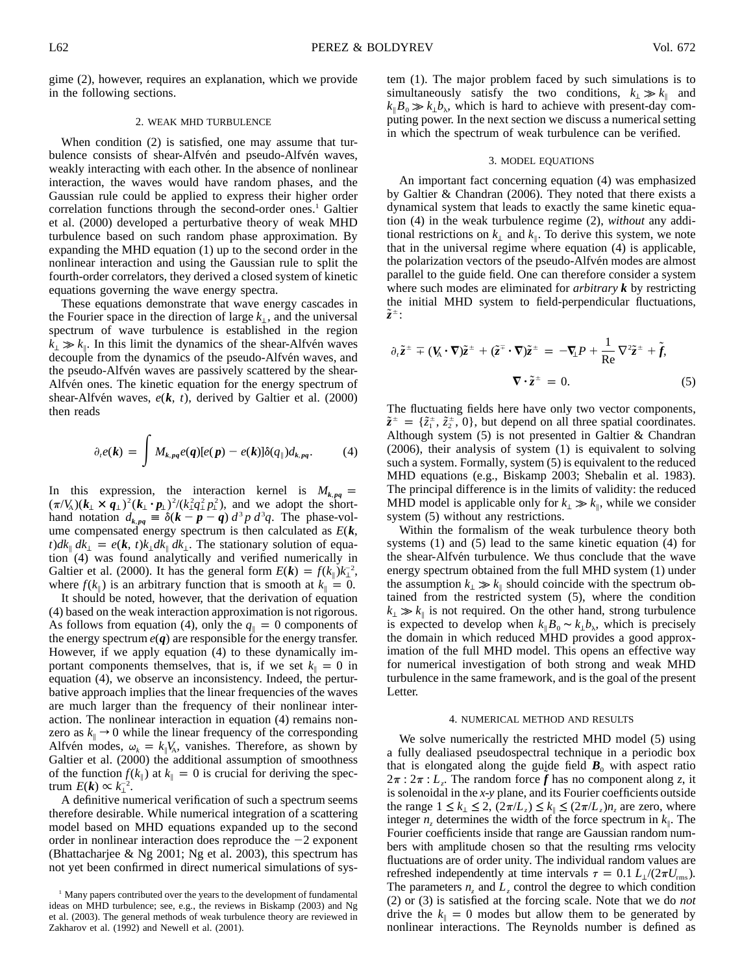gime (2), however, requires an explanation, which we provide in the following sections.

## 2. WEAK MHD TURBULENCE

When condition (2) is satisfied, one may assume that turbulence consists of shear-Alfvén and pseudo-Alfvén waves, weakly interacting with each other. In the absence of nonlinear interaction, the waves would have random phases, and the Gaussian rule could be applied to express their higher order correlation functions through the second-order ones.<sup>1</sup> Galtier et al. (2000) developed a perturbative theory of weak MHD turbulence based on such random phase approximation. By expanding the MHD equation (1) up to the second order in the nonlinear interaction and using the Gaussian rule to split the fourth-order correlators, they derived a closed system of kinetic equations governing the wave energy spectra.

These equations demonstrate that wave energy cascades in the Fourier space in the direction of large  $k_\perp$ , and the universal spectrum of wave turbulence is established in the region  $k_{\perp} \gg k_{\parallel}$ . In this limit the dynamics of the shear-Alfve<sup>n</sup> waves decouple from the dynamics of the pseudo-Alfvén waves, and the pseudo-Alfvén waves are passively scattered by the shear-Alfvet ones. The kinetic equation for the energy spectrum of shear-Alfvén waves,  $e(k, t)$ , derived by Galtier et al. (2000) then reads

$$
\partial_{t}e(\mathbf{k}) = \int M_{k,pq}e(q)[e(\mathbf{p}) - e(\mathbf{k})]\delta(q_{\parallel})d_{k,pq}.
$$
 (4)

In this expression, the interaction kernel is  $M_{k, pq}$  =  $(\pi / V_A)(\mathbf{k}_\perp \times \mathbf{q}_\perp)^2 (\mathbf{k}_\perp \cdot \mathbf{p}_\perp)^2 / (k_\perp^2 q_\perp^2 p_\perp^2)$ , and we adopt the shorthand notation  $d_{k, pq} \equiv \delta(k - p - q) d^3 p d^3 q$ . The phase-volume compensated energy spectrum is then calculated as *E*(*k*,  $t) d k_{\parallel} d k_{\perp} = e(k, t) k_{\perp} d k_{\parallel} d k_{\perp}$ . The stationary solution of equation (4) was found analytically and verified numerically in Galtier et al. (2000). It has the general form  $E(\mathbf{k}) = f(k_{\parallel})k_{\perp}^{-2}$ , where  $f(k_{\parallel})$  is an arbitrary function that is smooth at  $k_{\parallel} = 0$ .

It should be noted, however, that the derivation of equation (4) based on the weak interaction approximation is not rigorous. As follows from equation (4), only the  $q_{\parallel} = 0$  components of the energy spectrum  $e(q)$  are responsible for the energy transfer. However, if we apply equation (4) to these dynamically important components themselves, that is, if we set  $k_{\parallel} = 0$  in equation (4), we observe an inconsistency. Indeed, the perturbative approach implies that the linear frequencies of the waves are much larger than the frequency of their nonlinear interaction. The nonlinear interaction in equation (4) remains nonzero as  $k_{\parallel} \rightarrow 0$  while the linear frequency of the corresponding Alfvén modes,  $\omega_k = k_{\parallel} V_A$ , vanishes. Therefore, as shown by Galtier et al. (2000) the additional assumption of smoothness of the function  $f(k_{\parallel})$  at  $k_{\parallel} = 0$  is crucial for deriving the spectrum  $E(\mathbf{k}) \propto k_{\perp}^{-2}$ .

A definitive numerical verification of such a spectrum seems therefore desirable. While numerical integration of a scattering model based on MHD equations expanded up to the second order in nonlinear interaction does reproduce the  $-2$  exponent (Bhattacharjee & Ng 2001; Ng et al. 2003), this spectrum has not yet been confirmed in direct numerical simulations of system (1). The major problem faced by such simulations is to simultaneously satisfy the two conditions,  $k_{\perp} \gg k_{\parallel}$  and  $k_{\parallel} B_0 \gg k_{\perp} b_{\lambda}$ , which is hard to achieve with present-day computing power. In the next section we discuss a numerical setting in which the spectrum of weak turbulence can be verified.

## 3. MODEL EQUATIONS

An important fact concerning equation (4) was emphasized by Galtier & Chandran (2006). They noted that there exists a dynamical system that leads to exactly the same kinetic equation (4) in the weak turbulence regime (2), *without* any additional restrictions on  $k_{\perp}$  and  $k_{\parallel}$ . To derive this system, we note that in the universal regime where equation (4) is applicable, the polarization vectors of the pseudo-Alfvén modes are almost parallel to the guide field. One can therefore consider a system where such modes are eliminated for *arbitrary k* by restricting the initial MHD system to field-perpendicular fluctuations,  $\tilde{z}^{\pm}$ :

$$
\partial_t \tilde{z}^{\pm} \mp (V_{A} \cdot \nabla) \tilde{z}^{\pm} + (\tilde{z}^{\mp} \cdot \nabla) \tilde{z}^{\pm} = -\nabla_{\!\perp} P + \frac{1}{\text{Re}} \nabla^2 \tilde{z}^{\pm} + \tilde{f},
$$
  

$$
\nabla \cdot \tilde{z}^{\pm} = 0.
$$
 (5)

The fluctuating fields here have only two vector components,  $\tilde{z}^{\pm} = \{\tilde{z}_1^{\pm}, \tilde{z}_2^{\pm}, 0\}$ , but depend on all three spatial coordinates. Although system  $(5)$  is not presented in Galtier & Chandran (2006), their analysis of system (1) is equivalent to solving such a system. Formally, system (5) is equivalent to the reduced MHD equations (e.g., Biskamp 2003; Shebalin et al. 1983). The principal difference is in the limits of validity: the reduced MHD model is applicable only for  $k_{\perp} \gg k_{\parallel}$ , while we consider system  $(5)$  without any restrictions.

Within the formalism of the weak turbulence theory both systems (1) and (5) lead to the same kinetic equation (4) for the shear-Alfven turbulence. We thus conclude that the wave energy spectrum obtained from the full MHD system (1) under the assumption  $k_⊥ \gg k_⊥$  should coincide with the spectrum obtained from the restricted system (5), where the condition  $k_{\perp} \gg k_{\parallel}$  is not required. On the other hand, strong turbulence is expected to develop when  $k_{\parallel} B_0 \sim k_{\perp} b_{\lambda}$ , which is precisely the domain in which reduced MHD provides a good approximation of the full MHD model. This opens an effective way for numerical investigation of both strong and weak MHD turbulence in the same framework, and is the goal of the present Letter.

## 4. NUMERICAL METHOD AND RESULTS

We solve numerically the restricted MHD model (5) using a fully dealiased pseudospectral technique in a periodic box that is elongated along the guide field  $B_0$  with aspect ratio  $2\pi$  :  $2\pi$  :  $L_z$ . The random force f has no component along z, it is solenoidal in the *x*-*y* plane, and its Fourier coefficients outside the range  $1 \leq k_1 \leq 2$ ,  $(2\pi/L) \leq k_{\parallel} \leq (2\pi/L)$ , are zero, where integer  $n_z$  determines the width of the force spectrum in  $k_{\parallel}$ . The Fourier coefficients inside that range are Gaussian random numbers with amplitude chosen so that the resulting rms velocity fluctuations are of order unity. The individual random values are refreshed independently at time intervals  $\tau = 0.1 L_1/(2\pi U_{\rm rms})$ . The parameters  $n_z$  and  $L_z$  control the degree to which condition (2) or (3) is satisfied at the forcing scale. Note that we do *not* drive the  $k_{\parallel} = 0$  modes but allow them to be generated by nonlinear interactions. The Reynolds number is defined as

<sup>&</sup>lt;sup>1</sup> Many papers contributed over the years to the development of fundamental ideas on MHD turbulence; see, e.g., the reviews in Biskamp (2003) and Ng et al. (2003). The general methods of weak turbulence theory are reviewed in Zakharov et al. (1992) and Newell et al. (2001).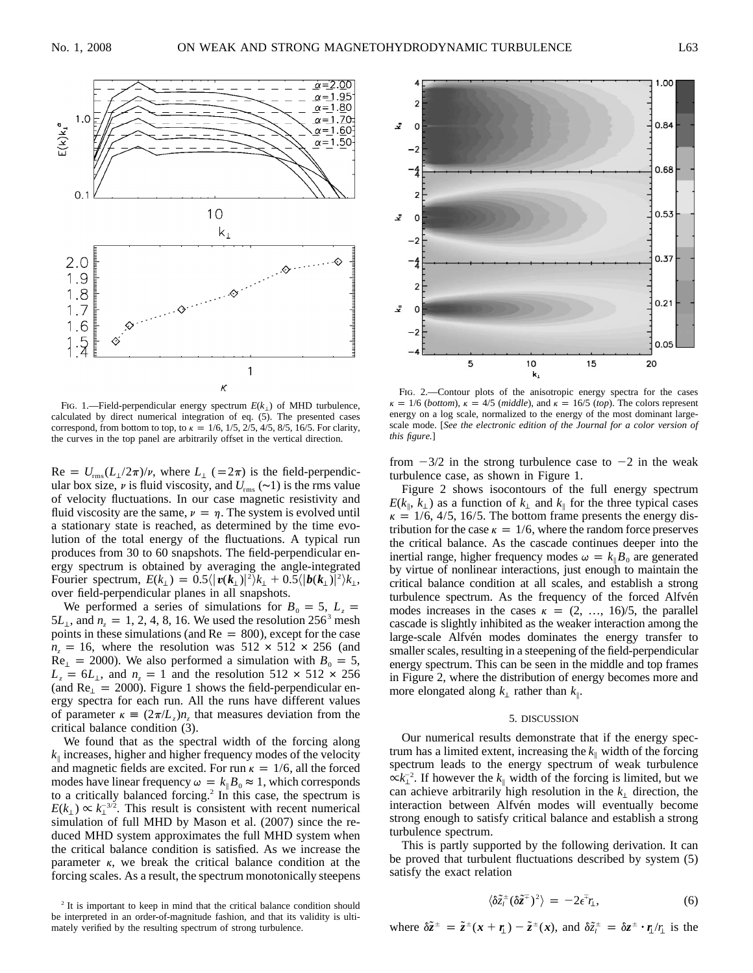

FIG. 1.—Field-perpendicular energy spectrum  $E(k_1)$  of MHD turbulence, calculated by direct numerical integration of eq. (5). The presented cases correspond, from bottom to top, to  $\kappa = 1/6$ , 1/5, 2/5, 4/5, 8/5, 16/5. For clarity, the curves in the top panel are arbitrarily offset in the vertical direction.

 $\text{Re} = U_{\text{rms}} (L_1 / 2\pi) / \nu$ , where  $L_1$  (=2 $\pi$ ) is the field-perpendicular box size,  $\nu$  is fluid viscosity, and  $U_{\text{rms}}$  (~1) is the rms value of velocity fluctuations. In our case magnetic resistivity and fluid viscosity are the same,  $\nu = \eta$ . The system is evolved until a stationary state is reached, as determined by the time evolution of the total energy of the fluctuations. A typical run produces from 30 to 60 snapshots. The field-perpendicular energy spectrum is obtained by averaging the angle-integrated Fourier spectrum,  $E(k_1) = 0.5\langle |\mathbf{v}(\mathbf{k}_1)|^2 \rangle k_1 + 0.5\langle |\mathbf{b}(\mathbf{k}_1)|^2 \rangle k_1$ , over field-perpendicular planes in all snapshots.

We performed a series of simulations for  $B_0 = 5$ ,  $L_z =$ 5 $L_{\perp}$ , and  $n_z = 1, 2, 4, 8, 16$ . We used the resolution 256<sup>3</sup> mesh points in these simulations (and  $Re = 800$ ), except for the case  $n_z = 16$ , where the resolution was  $512 \times 512 \times 256$  (and  $Re_{\perp}$  = 2000). We also performed a simulation with  $B_0 = 5$ ,  $L_z = 6L_{\perp}$ , and  $n_z = 1$  and the resolution 512  $\times$  512  $\times$  256 (and  $Re_{\perp} = 2000$ ). Figure 1 shows the field-perpendicular energy spectra for each run. All the runs have different values of parameter  $\kappa = (2\pi/L_z)n_z$ , that measures deviation from the critical balance condition (3).

We found that as the spectral width of the forcing along  $k_{\parallel}$  increases, higher and higher frequency modes of the velocity and magnetic fields are excited. For run  $\kappa = 1/6$ , all the forced modes have linear frequency  $\omega = k_{\parallel} B_0 \approx 1$ , which corresponds to a critically balanced forcing.2 In this case, the spectrum is  $E(k_{\perp}) \propto k_{\perp}^{-3/2}$ . This result is consistent with recent numerical simulation of full MHD by Mason et al. (2007) since the reduced MHD system approximates the full MHD system when the critical balance condition is satisfied. As we increase the parameter  $\kappa$ , we break the critical balance condition at the forcing scales. As a result, the spectrum monotonically steepens



FIG. 2.—Contour plots of the anisotropic energy spectra for the cases  $\kappa = 1/6$  *(bottom),*  $\kappa = 4/5$  *(middle),* and  $\kappa = 16/5$  *(top).* The colors represent energy on a log scale, normalized to the energy of the most dominant largescale mode. [*See the electronic edition of the Journal for a color version of this figure.*]

from  $-3/2$  in the strong turbulence case to  $-2$  in the weak turbulence case, as shown in Figure 1.

Figure 2 shows isocontours of the full energy spectrum  $E(k_{\parallel}, k_{\perp})$  as a function of  $k_{\perp}$  and  $k_{\parallel}$  for the three typical cases  $\kappa = 1/6, 4/5, 16/5$ . The bottom frame presents the energy distribution for the case  $\kappa = 1/6$ , where the random force preserves the critical balance. As the cascade continues deeper into the inertial range, higher frequency modes  $\omega = k_{\parallel} B_0$  are generated by virtue of nonlinear interactions, just enough to maintain the critical balance condition at all scales, and establish a strong turbulence spectrum. As the frequency of the forced Alfvén modes increases in the cases  $\kappa = (2, ..., 16)/5$ , the parallel cascade is slightly inhibited as the weaker interaction among the large-scale Alfvén modes dominates the energy transfer to smaller scales, resulting in a steepening of the field-perpendicular energy spectrum. This can be seen in the middle and top frames in Figure 2, where the distribution of energy becomes more and more elongated along  $k_{\perp}$  rather than  $k_{\parallel}$ .

#### 5. DISCUSSION

Our numerical results demonstrate that if the energy spectrum has a limited extent, increasing the  $k_{\parallel}$  width of the forcing spectrum leads to the energy spectrum of weak turbulence  $\propto$  $k_{\perp}^{-2}$ . If however the  $k_{\parallel}$  width of the forcing is limited, but we can achieve arbitrarily high resolution in the  $k<sub>⊥</sub>$  direction, the interaction between Alfvén modes will eventually become strong enough to satisfy critical balance and establish a strong turbulence spectrum.

This is partly supported by the following derivation. It can be proved that turbulent fluctuations described by system (5) satisfy the exact relation

$$
\langle \delta \tilde{z}_i^{\pm} (\delta \tilde{z}^{\mp})^2 \rangle = -2 \epsilon^{\mp} r_{\perp}, \tag{6}
$$

where  $\delta \tilde{z}^{\pm} = \tilde{z}^{\pm}(\mathbf{x} + \mathbf{r}_{\perp}) - \tilde{z}^{\pm}(\mathbf{x})$ , and  $\delta \tilde{z}^{\pm} = \delta z^{\pm} \cdot \mathbf{r}_{\perp}/r_{\perp}$  is the

<sup>&</sup>lt;sup>2</sup> It is important to keep in mind that the critical balance condition should be interpreted in an order-of-magnitude fashion, and that its validity is ultimately verified by the resulting spectrum of strong turbulence.